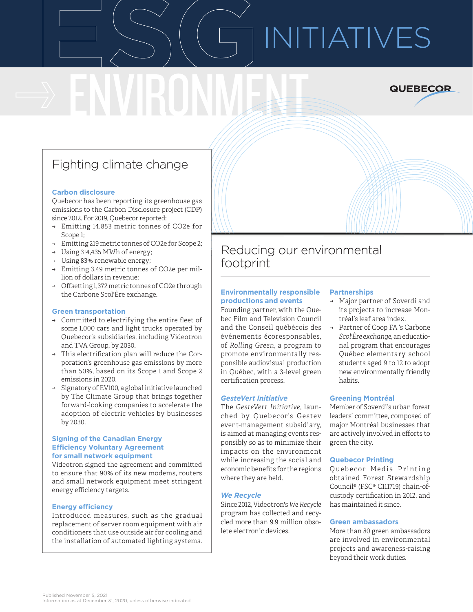# **ENVIDENTIATIVES**



# Fighting climate change

ENVIRONMENT

#### **Carbon disclosure**

Quebecor has been reporting its greenhouse gas emissions to the Carbon Disclosure project (CDP) since 2012. For 2019, Quebecor reported:

- ̋ Emitting 14,853 metric tonnes of CO2e for Scope 1;
- → Emitting 219 metric tonnes of CO2e for Scope 2;
- → Using 314,435 MWh of energy;
- → Using 83% renewable energy;
- $\rightarrow$  Emitting 3.49 metric tonnes of CO2e per million of dollars in revenue;
- → Offsetting 1,372 metric tonnes of CO2e through the Carbone Scol'Ère exchange.

#### **Green transportation**

- $\rightarrow$  Committed to electrifying the entire fleet of some 1,000 cars and light trucks operated by Quebecor's subsidiaries, including Videotron and TVA Group, by 2030.
- $\rightarrow$  This electrification plan will reduce the Corporation's greenhouse gas emissions by more than 50%, based on its Scope 1 and Scope 2 emissions in 2020.
- Signatory of EV100, a global initiative launched by The Climate Group that brings together forward-looking companies to accelerate the adoption of electric vehicles by businesses by 2030.

#### **Signing of the Canadian Energy Efficiency Voluntary Agreement for small network equipment**

Videotron signed the agreement and committed to ensure that 90% of its new modems, routers and small network equipment meet stringent energy efficiency targets.

#### **Energy efficiency**

Introduced measures, such as the gradual replacement of server room equipment with air conditioners that use outside air for cooling and the installation of automated lighting systems.

# Reducing our environmental footprint

#### **Environmentally responsible productions and events**

Founding partner, with the Quebec Film and Television Council and the Conseil québécois des événements écoresponsables, of *Rolling Green*, a program to promote environmentally responsible audiovisual production in Québec, with a 3-level green certification process.

#### *GesteVert Initiative*

The *GesteVert Initiative*, launched by Quebecor's Gestev event-management subsidiary, is aimed at managing events responsibly so as to minimize their impacts on the environment while increasing the social and economic benefits for the regions where they are held.

#### *We Recycle*

Since 2012, Videotron's *We Recycle* program has collected and recycled more than 9.9 million obsolete electronic devices.

#### **Partnerships**

- → Major partner of Soverdi and its projects to increase Montréal's leaf area index.
- → Partner of Coop FA 's Carbone *Scol'Ère exchange*, an educational program that encourages Québec elementary school students aged 9 to 12 to adopt new environmentally friendly habits.

#### **Greening Montréal**

Member of Soverdi's urban forest leaders' committee, composed of major Montréal businesses that are actively involved in efforts to green the city.

#### **Quebecor Printing**

Quebecor Media Printing obtained Forest Stewardship Council® (FSC® C111719) chain-ofcustody certification in 2012, and has maintained it since.

#### **Green ambassadors**

More than 80 green ambassadors are involved in environmental projects and awareness-raising beyond their work duties.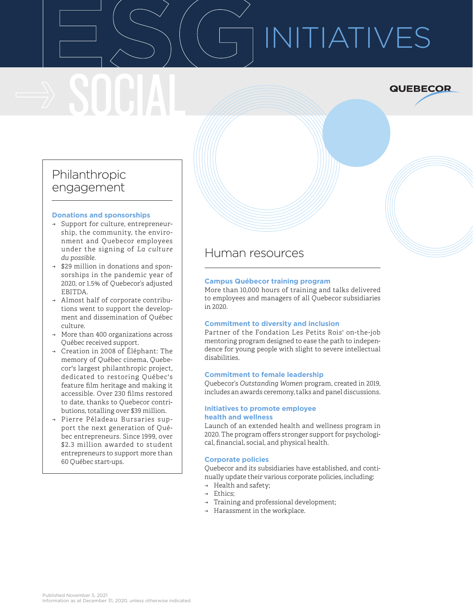# ESG<br>BOOK SOCIAL INITIATIVES

**QUEBECOR** 

## Philanthropic engagement

#### **Donations and sponsorships**

- → Support for culture, entrepreneurship, the community, the environment and Quebecor employees under the signing of *La culture du possible*.
- → \$29 million in donations and sponsorships in the pandemic year of 2020, or 1.5% of Quebecor's adjusted EBITDA.
- → Almost half of corporate contributions went to support the development and dissemination of Québec culture.
- $\rightarrow$  More than 400 organizations across Québec received support.
- $\rightarrow$  Creation in 2008 of Éléphant: The memory of Québec cinema, Quebecor's largest philanthropic project, dedicated to restoring Québec's feature film heritage and making it accessible. Over 230 films restored to date, thanks to Quebecor contributions, totalling over \$39 million.
- ̋ Pierre Péladeau Bursaries support the next generation of Québec entrepreneurs. Since 1999, over \$2.3 million awarded to student entrepreneurs to support more than 60 Québec start-ups.

### Human resources

#### **Campus Québecor training program**

More than 10,000 hours of training and talks delivered to employees and managers of all Quebecor subsidiaries in 2020.

#### **Commitment to diversity and inclusion**

Partner of the Fondation Les Petits Rois' on-the-job mentoring program designed to ease the path to independence for young people with slight to severe intellectual disabilities.

#### **Commitment to female leadership**

Quebecor's *Outstanding Women* program, created in 2019, includes an awards ceremony, talks and panel discussions.

#### **Initiatives to promote employee health and wellness**

Launch of an extended health and wellness program in 2020. The program offers stronger support for psychological, financial, social, and physical health.

#### **Corporate policies**

Quebecor and its subsidiaries have established, and continually update their various corporate policies, including:

- $\rightarrow$  Health and safety;
- Ethics:
- $\rightarrow$  Training and professional development;
- $\rightarrow$  Harassment in the workplace.